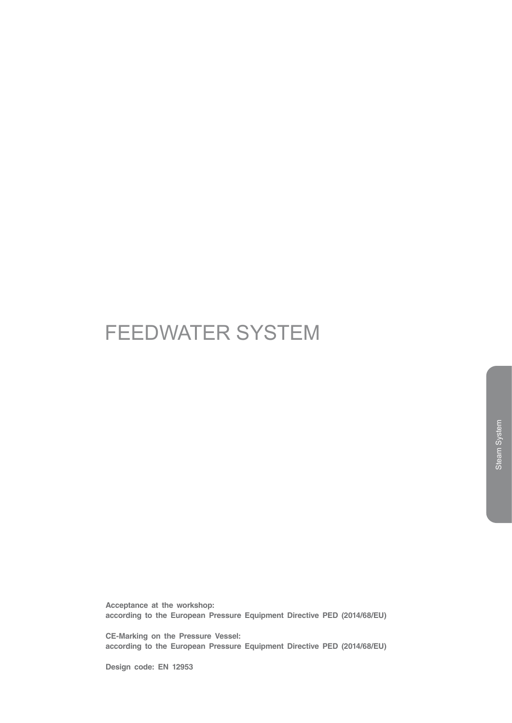# FEEDWATER SYSTEM

**Acceptance at the workshop: according to the European Pressure Equipment Directive PED (2014/68/EU)**

**CE-Marking on the Pressure Vessel: according to the European Pressure Equipment Directive PED (2014/68/EU)**

**Design code: EN 12953**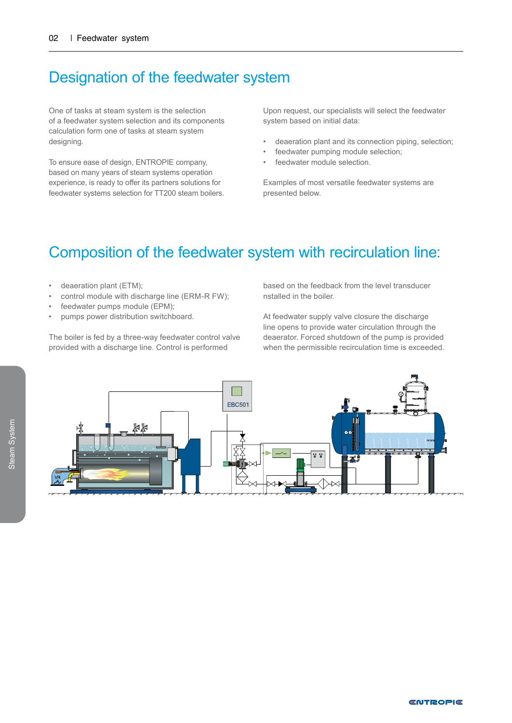### Designation of the feedwater system

One of tasks at steam system is the selection of a feedwater system selection and its components calculation form one of tasks at steam system designing.

To ensure ease of design, ENTROPIE company, based on many years of steam systems operation experience, is ready to offer its partners solutions for feedwater systems selection for TT200 steam boilers.

Upon request, our specialists will select the feedwater system based on initial data:

- deaeration plant and its connection piping, selection;
- feedwater pumping module selection;
- feedwater module selection.

Examples of most versatile feedwater systems are presented below.

### Composition of the feedwater system with recirculation line:

- deaeration plant (ETM);
- control module with discharge line (ERM-R FW);
- feedwater pumps module (EPM);
- pumps power distribution switchboard.

The boiler is fed by a three-way feedwater control valve provided with a discharge line. Control is performed

based on the feedback from the level transducer nstalled in the boiler.

At feedwater supply valve closure the discharge line opens to provide water circulation through the deaerator. Forced shutdown of the pump is provided when the permissible recirculation time is exceeded.

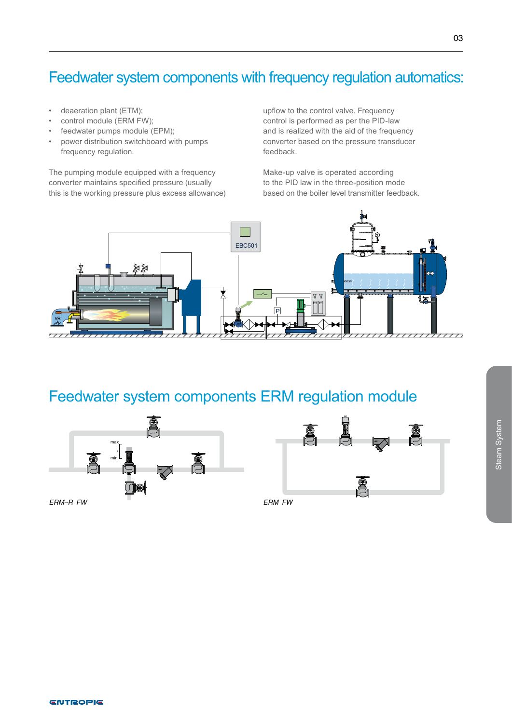## Feedwater system components with frequency regulation automatics:

- deaeration plant (ETM);
- control module (ERM FW);
- feedwater pumps module (EPM);
- power distribution switchboard with pumps frequency regulation.

The pumping module equipped with a frequency converter maintains specified pressure (usually this is the working pressure plus excess allowance) upflow to the control valve. Frequency control is performed as per the PID-law and is realized with the aid of the frequency converter based on the pressure transducer feedback.

Make-up valve is operated according to the PID law in the three-position mode based on the boiler level transmitter feedback.



# Feedwater system components ERM regulation module



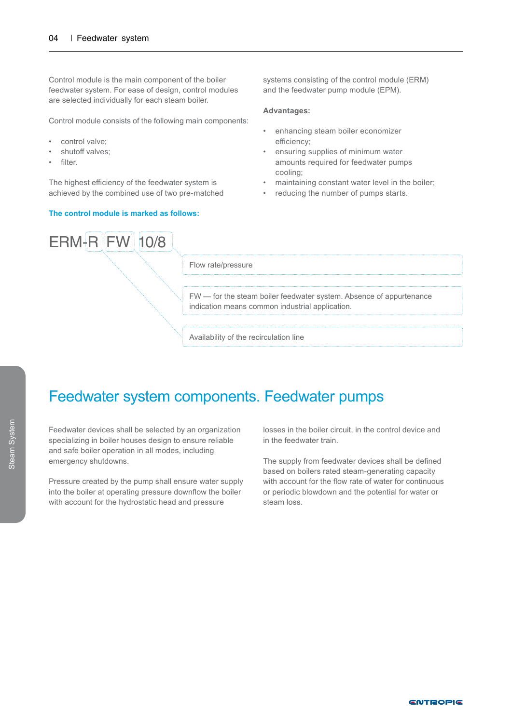Control module is the main component of the boiler feedwater system. For ease of design, control modules are selected individually for each steam boiler.

Control module consists of the following main components:

- control valve;
- shutoff valves;
- filter.

The highest efficiency of the feedwater system is achieved by the combined use of two pre-matched

#### **The control module is marked as follows:**

systems consisting of the control module (ERM) and the feedwater pump module (EPM).

#### **Advantages:**

- enhancing steam boiler economizer efficiency;
- ensuring supplies of minimum water amounts required for feedwater pumps cooling;
- maintaining constant water level in the boiler;
- reducing the number of pumps starts.



Flow rate/pressure

FW — for the steam boiler feedwater system. Absence of appurtenance indication means common industrial application.

Availability of the recirculation line

#### Feedwater system components. Feedwater pumps

Feedwater devices shall be selected by an organization specializing in boiler houses design to ensure reliable and safe boiler operation in all modes, including emergency shutdowns.

Pressure created by the pump shall ensure water supply into the boiler at operating pressure downflow the boiler with account for the hydrostatic head and pressure

losses in the boiler circuit, in the control device and in the feedwater train.

The supply from feedwater devices shall be defined based on boilers rated steam-generating capacity with account for the flow rate of water for continuous or periodic blowdown and the potential for water or steam loss.